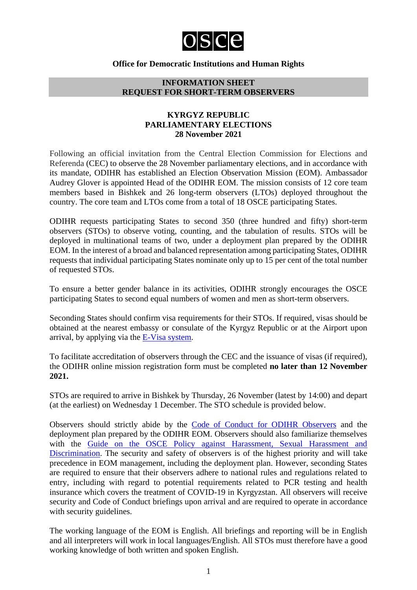

#### **Office for Democratic Institutions and Human Rights**

#### **INFORMATION SHEET REQUEST FOR SHORT-TERM OBSERVERS**

#### **KYRGYZ REPUBLIC PARLIAMENTARY ELECTIONS 28 November 2021**

Following an official invitation from the Central Election Commission for Elections and Referenda (CEC) to observe the 28 November parliamentary elections, and in accordance with its mandate, ODIHR has established an Election Observation Mission (EOM). Ambassador Audrey Glover is appointed Head of the ODIHR EOM. The mission consists of 12 core team members based in Bishkek and 26 long-term observers (LTOs) deployed throughout the country. The core team and LTOs come from a total of 18 OSCE participating States.

ODIHR requests participating States to second 350 (three hundred and fifty) short-term observers (STOs) to observe voting, counting, and the tabulation of results. STOs will be deployed in multinational teams of two, under a deployment plan prepared by the ODIHR EOM. In the interest of a broad and balanced representation among participating States, ODIHR requests that individual participating States nominate only up to 15 per cent of the total number of requested STOs.

To ensure a better gender balance in its activities, ODIHR strongly encourages the OSCE participating States to second equal numbers of women and men as short-term observers.

Seconding States should confirm visa requirements for their STOs. If required, visas should be obtained at the nearest embassy or consulate of the Kyrgyz Republic or at the Airport upon arrival, by applying via the [E-Visa system.](https://www.evisa.e-gov.kg/)

To facilitate accreditation of observers through the CEC and the issuance of visas (if required), the ODIHR online mission registration form must be completed **no later than 12 November 2021.**

STOs are required to arrive in Bishkek by Thursday, 26 November (latest by 14:00) and depart (at the earliest) on Wednesday 1 December. The STO schedule is provided below.

Observers should strictly abide by the [Code of Conduct for ODIHR Observers](http://www.osce.org/odihr/elections/322891) and the deployment plan prepared by the ODIHR EOM. Observers should also familiarize themselves with the [Guide on the OSCE Policy against Harassment, Sexual Harassment and](http://www.osce.org/gender/30604)  [Discrimination.](http://www.osce.org/gender/30604) The security and safety of observers is of the highest priority and will take precedence in EOM management, including the deployment plan. However, seconding States are required to ensure that their observers adhere to national rules and regulations related to entry, including with regard to potential requirements related to PCR testing and health insurance which covers the treatment of COVID-19 in Kyrgyzstan. All observers will receive security and Code of Conduct briefings upon arrival and are required to operate in accordance with security guidelines.

The working language of the EOM is English. All briefings and reporting will be in English and all interpreters will work in local languages/English. All STOs must therefore have a good working knowledge of both written and spoken English.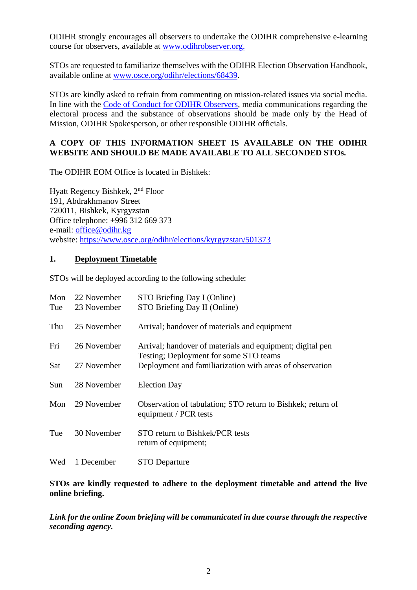ODIHR strongly encourages all observers to undertake the ODIHR comprehensive e-learning course for observers, available at [www.odihrobserver.org.](http://www.odihrobserver.org/)

STOs are requested to familiarize themselves with the ODIHR Election Observation Handbook, available online at [www.osce.org/odihr/elections/68439.](http://www.osce.org/odihr/elections/68439)

STOs are kindly asked to refrain from commenting on mission-related issues via social media. In line with the [Code of Conduct for ODIHR Observers,](http://www.osce.org/odihr/elections/322891) media communications regarding the electoral process and the substance of observations should be made only by the Head of Mission, ODIHR Spokesperson, or other responsible ODIHR officials.

### **A COPY OF THIS INFORMATION SHEET IS AVAILABLE ON THE ODIHR WEBSITE AND SHOULD BE MADE AVAILABLE TO ALL SECONDED STOs.**

The ODIHR EOM Office is located in Bishkek:

Hyatt Regency Bishkek, 2<sup>nd</sup> Floor 191, Abdrakhmanov Street 720011, Bishkek, Kyrgyzstan Office telephone: +996 312 669 373 e-mail: [office@odihr.kg](mailto:office@odihr.kg) website:<https://www.osce.org/odihr/elections/kyrgyzstan/501373>

#### **1. Deployment Timetable**

STOs will be deployed according to the following schedule:

| Mon | 22 November | STO Briefing Day I (Online)                                                                         |
|-----|-------------|-----------------------------------------------------------------------------------------------------|
| Tue | 23 November | STO Briefing Day II (Online)                                                                        |
| Thu | 25 November | Arrival; handover of materials and equipment                                                        |
| Fri | 26 November | Arrival; handover of materials and equipment; digital pen<br>Testing; Deployment for some STO teams |
| Sat | 27 November | Deployment and familiarization with areas of observation                                            |
| Sun | 28 November | <b>Election Day</b>                                                                                 |
| Mon | 29 November | Observation of tabulation; STO return to Bishkek; return of<br>equipment / PCR tests                |
| Tue | 30 November | STO return to Bishkek/PCR tests<br>return of equipment;                                             |
| Wed | 1 December  | <b>STO Departure</b>                                                                                |

**STOs are kindly requested to adhere to the deployment timetable and attend the live online briefing.**

*Link for the online Zoom briefing will be communicated in due course through the respective seconding agency.*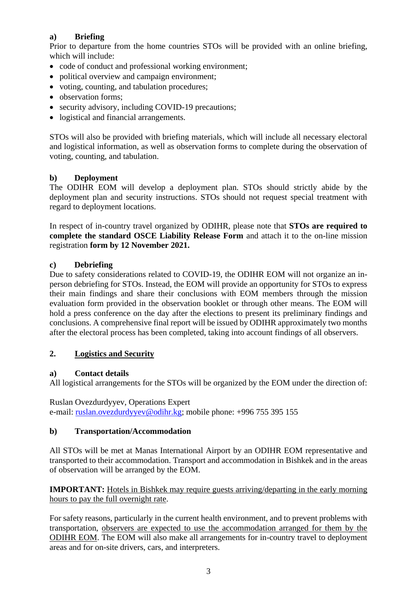# **a) Briefing**

Prior to departure from the home countries STOs will be provided with an online briefing, which will include:

- code of conduct and professional working environment;
- political overview and campaign environment;
- voting, counting, and tabulation procedures;
- observation forms:
- security advisory, including COVID-19 precautions;
- logistical and financial arrangements.

STOs will also be provided with briefing materials, which will include all necessary electoral and logistical information, as well as observation forms to complete during the observation of voting, counting, and tabulation.

# **b) Deployment**

The ODIHR EOM will develop a deployment plan. STOs should strictly abide by the deployment plan and security instructions. STOs should not request special treatment with regard to deployment locations.

In respect of in-country travel organized by ODIHR, please note that **STOs are required to complete the standard OSCE Liability Release Form** and attach it to the on-line mission registration **form by 12 November 2021.**

### **c) Debriefing**

Due to safety considerations related to COVID-19, the ODIHR EOM will not organize an inperson debriefing for STOs. Instead, the EOM will provide an opportunity for STOs to express their main findings and share their conclusions with EOM members through the mission evaluation form provided in the observation booklet or through other means. The EOM will hold a press conference on the day after the elections to present its preliminary findings and conclusions. A comprehensive final report will be issued by ODIHR approximately two months after the electoral process has been completed, taking into account findings of all observers.

# **2. Logistics and Security**

### **a) Contact details**

All logistical arrangements for the STOs will be organized by the EOM under the direction of:

Ruslan Ovezdurdyyev, Operations Expert e-mail: [ruslan.ovezdurdyyev@odihr.kg;](mailto:ruslan.ovezdurdyyev@odihr.kg) mobile phone: +996 755 395 155

### **b) Transportation/Accommodation**

All STOs will be met at Manas International Airport by an ODIHR EOM representative and transported to their accommodation. Transport and accommodation in Bishkek and in the areas of observation will be arranged by the EOM.

### **IMPORTANT:** Hotels in Bishkek may require guests arriving/departing in the early morning hours to pay the full overnight rate.

For safety reasons, particularly in the current health environment, and to prevent problems with transportation, observers are expected to use the accommodation arranged for them by the ODIHR EOM. The EOM will also make all arrangements for in-country travel to deployment areas and for on-site drivers, cars, and interpreters.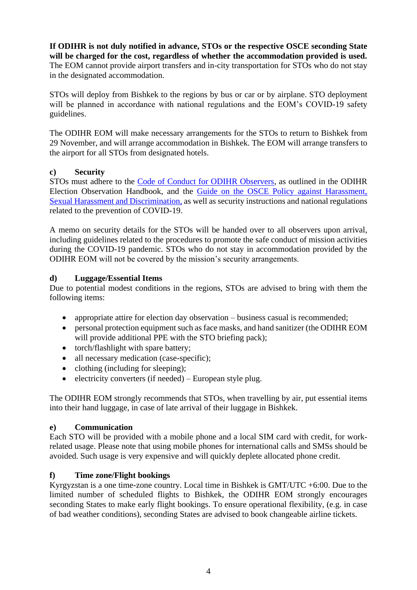**If ODIHR is not duly notified in advance, STOs or the respective OSCE seconding State will be charged for the cost, regardless of whether the accommodation provided is used.** The EOM cannot provide airport transfers and in-city transportation for STOs who do not stay in the designated accommodation.

STOs will deploy from Bishkek to the regions by bus or car or by airplane. STO deployment will be planned in accordance with national regulations and the EOM's COVID-19 safety guidelines.

The ODIHR EOM will make necessary arrangements for the STOs to return to Bishkek from 29 November, and will arrange accommodation in Bishkek. The EOM will arrange transfers to the airport for all STOs from designated hotels.

### **c) Security**

STOs must adhere to the [Code of Conduct for ODIHR Observers,](http://www.osce.org/odihr/elections/322891) as outlined in the ODIHR Election Observation Handbook, and the [Guide on the OSCE Policy against Harassment,](http://www.osce.org/gender/30604)  [Sexual Harassment and Discrimination,](http://www.osce.org/gender/30604) as well as security instructions and national regulations related to the prevention of COVID-19.

A memo on security details for the STOs will be handed over to all observers upon arrival, including guidelines related to the procedures to promote the safe conduct of mission activities during the COVID-19 pandemic. STOs who do not stay in accommodation provided by the ODIHR EOM will not be covered by the mission's security arrangements.

### **d) Luggage/Essential Items**

Due to potential modest conditions in the regions, STOs are advised to bring with them the following items:

- appropriate attire for election day observation business casual is recommended;
- personal protection equipment such as face masks, and hand sanitizer (the ODIHR EOM will provide additional PPE with the STO briefing pack);
- torch/flashlight with spare battery;
- all necessary medication (case-specific);
- $\bullet$  clothing (including for sleeping);
- $\bullet$  electricity converters (if needed) European style plug.

The ODIHR EOM strongly recommends that STOs, when travelling by air, put essential items into their hand luggage, in case of late arrival of their luggage in Bishkek.

#### **e) Communication**

Each STO will be provided with a mobile phone and a local SIM card with credit, for workrelated usage. Please note that using mobile phones for international calls and SMSs should be avoided. Such usage is very expensive and will quickly deplete allocated phone credit.

#### **f) Time zone/Flight bookings**

Kyrgyzstan is a one time-zone country. Local time in Bishkek is GMT/UTC +6:00. Due to the limited number of scheduled flights to Bishkek, the ODIHR EOM strongly encourages seconding States to make early flight bookings. To ensure operational flexibility, (e.g. in case of bad weather conditions), seconding States are advised to book changeable airline tickets.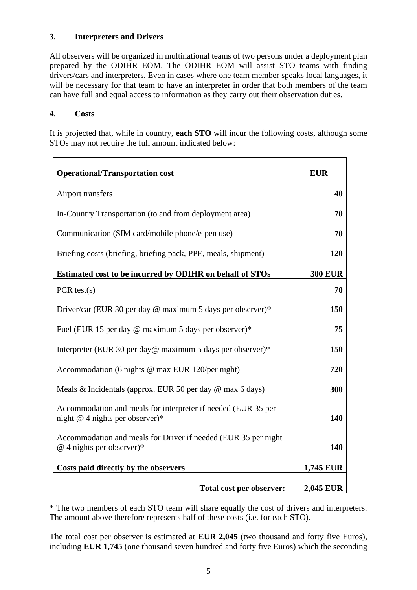### **3. Interpreters and Drivers**

All observers will be organized in multinational teams of two persons under a deployment plan prepared by the ODIHR EOM. The ODIHR EOM will assist STO teams with finding drivers/cars and interpreters. Even in cases where one team member speaks local languages, it will be necessary for that team to have an interpreter in order that both members of the team can have full and equal access to information as they carry out their observation duties.

# **4. Costs**

It is projected that, while in country, **each STO** will incur the following costs, although some STOs may not require the full amount indicated below:

| <b>Operational/Transportation cost</b>                                                             | <b>EUR</b>       |
|----------------------------------------------------------------------------------------------------|------------------|
| Airport transfers                                                                                  | 40               |
| In-Country Transportation (to and from deployment area)                                            | 70               |
| Communication (SIM card/mobile phone/e-pen use)                                                    | 70               |
| Briefing costs (briefing, briefing pack, PPE, meals, shipment)                                     | <b>120</b>       |
| Estimated cost to be incurred by ODIHR on behalf of STOs                                           | <b>300 EUR</b>   |
| $PCR \text{ test}(s)$                                                                              | 70               |
| Driver/car (EUR 30 per day @ maximum 5 days per observer)*                                         | 150              |
| Fuel (EUR 15 per day @ maximum 5 days per observer)*                                               | 75               |
| Interpreter (EUR 30 per day@ maximum 5 days per observer)*                                         | 150              |
| Accommodation (6 nights @ max EUR 120/per night)                                                   | 720              |
| Meals & Incidentals (approx. EUR 50 per day @ max 6 days)                                          | 300              |
| Accommodation and meals for interpreter if needed (EUR 35 per<br>night $@$ 4 nights per observer)* | 140              |
| Accommodation and meals for Driver if needed (EUR 35 per night<br>$@$ 4 nights per observer)*      | 140              |
| Costs paid directly by the observers                                                               | <b>1,745 EUR</b> |
| Total cost per observer:                                                                           | 2,045 EUR        |

\* The two members of each STO team will share equally the cost of drivers and interpreters. The amount above therefore represents half of these costs (i.e. for each STO).

The total cost per observer is estimated at **EUR 2,045** (two thousand and forty five Euros), including **EUR 1,745** (one thousand seven hundred and forty five Euros) which the seconding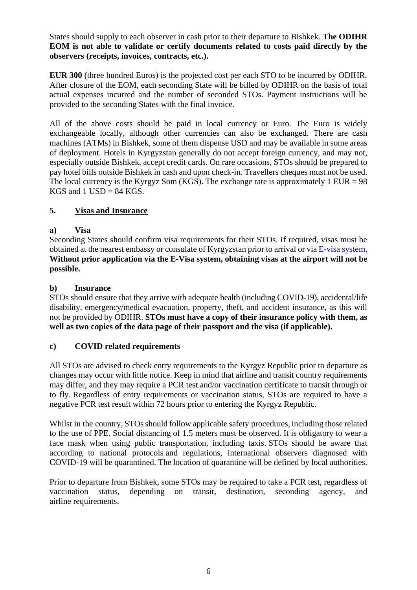States should supply to each observer in cash prior to their departure to Bishkek. **The ODIHR EOM is not able to validate or certify documents related to costs paid directly by the observers (receipts, invoices, contracts, etc.).**

**EUR 300** (three hundred Euros) is the projected cost per each STO to be incurred by ODIHR. After closure of the EOM, each seconding State will be billed by ODIHR on the basis of total actual expenses incurred and the number of seconded STOs. Payment instructions will be provided to the seconding States with the final invoice.

All of the above costs should be paid in local currency or Euro. The Euro is widely exchangeable locally, although other currencies can also be exchanged. There are cash machines (ATMs) in Bishkek, some of them dispense USD and may be available in some areas of deployment. Hotels in Kyrgyzstan generally do not accept foreign currency, and may not, especially outside Bishkek, accept credit cards. On rare occasions, STOs should be prepared to pay hotel bills outside Bishkek in cash and upon check-in. Travellers cheques must not be used. The local currency is the Kyrgyz Som (KGS). The exchange rate is approximately  $1$  EUR = 98 KGS and  $1$  USD = 84 KGS.

# **5. Visas and Insurance**

### **a) Visa**

Seconding States should confirm visa requirements for their STOs. If required, visas must be obtained at the nearest embassy or consulate of Kyrgyzstan prior to arrival or via [E-visa system.](https://www.evisa.e-gov.kg/) **Without prior application via the E-Visa system, obtaining visas at the airport will not be possible.** 

#### **b) Insurance**

STOs should ensure that they arrive with adequate health (including COVID-19), accidental/life disability, emergency/medical evacuation, property, theft, and accident insurance, as this will not be provided by ODIHR. **STOs must have a copy of their insurance policy with them, as well as two copies of the data page of their passport and the visa (if applicable).**

### **c) COVID related requirements**

All STOs are advised to check entry requirements to the Kyrgyz Republic prior to departure as changes may occur with little notice. Keep in mind that airline and transit country requirements may differ, and they may require a PCR test and/or vaccination certificate to transit through or to fly. Regardless of entry requirements or vaccination status, STOs are required to have a negative PCR test result within 72 hours prior to entering the Kyrgyz Republic.

Whilst in the country, STOs should follow applicable safety procedures, including those related to the use of PPE. Social distancing of 1.5 meters must be observed. It is obligatory to wear a face mask when using public transportation, including taxis. STOs should be aware that according to national protocols and regulations, international observers diagnosed with COVID-19 will be quarantined. The location of quarantine will be defined by local authorities.

Prior to departure from Bishkek, some STOs may be required to take a PCR test, regardless of vaccination status, depending on transit, destination, seconding agency, and airline requirements.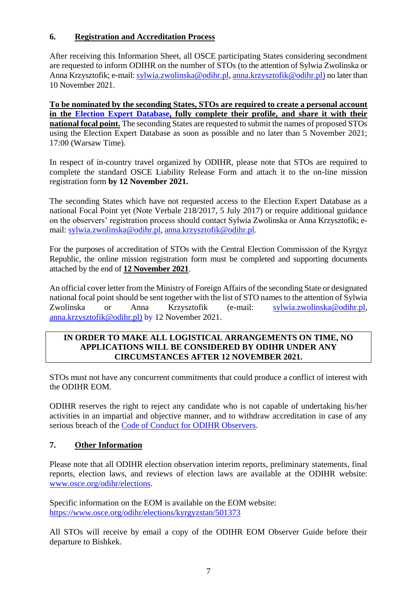### **6. Registration and Accreditation Process**

After receiving this Information Sheet, all OSCE participating States considering secondment are requested to inform ODIHR on the number of STOs (to the attention of Sylwia Zwolinska or Anna Krzysztofik; e-mail: [sylwia.zwolinska@odihr.pl,](mailto:sylwia.zwolinska@odihr.pl) [anna.krzysztofik@odihr.pl\)](mailto:anna.krzysztofik@odihr.pl) no later than 10 November 2021.

**To be nominated by the seconding States, STOs are required to create a personal account in the [Election Expert Database,](http://electionexpert.odihr.pl/) fully complete their profile, and share it with their national focal point.** The seconding States are requested to submit the names of proposed STOs using the Election Expert Database as soon as possible and no later than 5 November 2021; 17:00 (Warsaw Time).

In respect of in-country travel organized by ODIHR, please note that STOs are required to complete the standard OSCE Liability Release Form and attach it to the on-line mission registration form **by 12 November 2021.**

The seconding States which have not requested access to the Election Expert Database as a national Focal Point yet (Note Verbale 218/2017, 5 July 2017) or require additional guidance on the observers' registration process should contact Sylwia Zwolinska or Anna Krzysztofik; email: [sylwia.zwolinska@odihr.pl,](mailto:sylwia.zwolinska@odihr.pl) [anna.krzysztofik@odihr.pl.](mailto:anna.krzysztofik@odihr.pl)

For the purposes of accreditation of STOs with the Central Election Commission of the Kyrgyz Republic, the online mission registration form must be completed and supporting documents attached by the end of **12 November 2021**.

An official cover letter from the Ministry of Foreign Affairs of the seconding State or designated national focal point should be sent together with the list of STO names to the attention of Sylwia Zwolinska or Anna Krzysztofik (e-mail: [sylwia.zwolinska@odihr.pl,](mailto:sylwia.zwolinska@odihr.pl) [anna.krzysztofik@odihr.pl\)](mailto:anna.krzysztofik@odihr.pl) by 12 November 2021.

#### **IN ORDER TO MAKE ALL LOGISTICAL ARRANGEMENTS ON TIME, NO APPLICATIONS WILL BE CONSIDERED BY ODIHR UNDER ANY CIRCUMSTANCES AFTER 12 NOVEMBER 2021.**

STOs must not have any concurrent commitments that could produce a conflict of interest with the ODIHR EOM.

ODIHR reserves the right to reject any candidate who is not capable of undertaking his/her activities in an impartial and objective manner, and to withdraw accreditation in case of any serious breach of the [Code of Conduct for ODIHR Observers.](http://www.osce.org/odihr/elections/322891)

# **7. Other Information**

Please note that all ODIHR election observation interim reports, preliminary statements, final reports, election laws, and reviews of election laws are available at the ODIHR website: [www.osce.org/odihr/](http://www.osce.org/odihr)elections.

Specific information on the EOM is available on the EOM website: <https://www.osce.org/odihr/elections/kyrgyzstan/501373>

All STOs will receive by email a copy of the ODIHR EOM Observer Guide before their departure to Bishkek.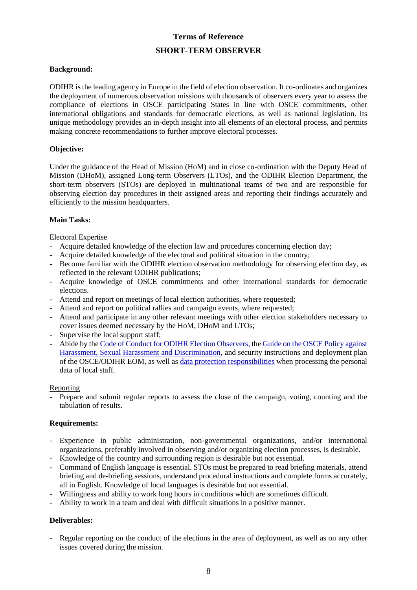# **Terms of Reference SHORT-TERM OBSERVER**

#### **Background:**

ODIHR is the leading agency in Europe in the field of election observation. It co-ordinates and organizes the deployment of numerous observation missions with thousands of observers every year to assess the compliance of elections in OSCE participating States in line with OSCE commitments, other international obligations and standards for democratic elections, as well as national legislation. Its unique methodology provides an in-depth insight into all elements of an electoral process, and permits making concrete recommendations to further improve electoral processes.

#### **Objective:**

Under the guidance of the Head of Mission (HoM) and in close co-ordination with the Deputy Head of Mission (DHoM), assigned Long-term Observers (LTOs), and the ODIHR Election Department, the short-term observers (STOs) are deployed in multinational teams of two and are responsible for observing election day procedures in their assigned areas and reporting their findings accurately and efficiently to the mission headquarters.

#### **Main Tasks:**

#### Electoral Expertise

- Acquire detailed knowledge of the election law and procedures concerning election day;
- Acquire detailed knowledge of the electoral and political situation in the country;
- Become familiar with the ODIHR election observation methodology for observing election day, as reflected in the relevant ODIHR publications;
- Acquire knowledge of OSCE commitments and other international standards for democratic elections.
- Attend and report on meetings of local election authorities, where requested;
- Attend and report on political rallies and campaign events, where requested;
- Attend and participate in any other relevant meetings with other election stakeholders necessary to cover issues deemed necessary by the HoM, DHoM and LTOs;
- Supervise the local support staff:
- Abide by the [Code of Conduct for ODIHR Election Observers,](http://www.osce.org/odihr/elections/322891?download=true) the [Guide on the OSCE Policy against](http://www.osce.org/gender/30604)  [Harassment, Sexual Harassment and Discrimination,](http://www.osce.org/gender/30604) and security instructions and deployment plan of the OSCE/ODIHR EOM, as well as [data protection responsibilities](http://www.osce.org/odihr/324441?download=true) when processing the personal data of local staff.

#### Reporting

- Prepare and submit regular reports to assess the close of the campaign, voting, counting and the tabulation of results.

#### **Requirements:**

- Experience in public administration, non-governmental organizations, and/or international organizations, preferably involved in observing and/or organizing election processes, is desirable.
- Knowledge of the country and surrounding region is desirable but not essential.
- Command of English language is essential. STOs must be prepared to read briefing materials, attend briefing and de-briefing sessions, understand procedural instructions and complete forms accurately, all in English. Knowledge of local languages is desirable but not essential.
- Willingness and ability to work long hours in conditions which are sometimes difficult.
- Ability to work in a team and deal with difficult situations in a positive manner.

#### **Deliverables:**

Regular reporting on the conduct of the elections in the area of deployment, as well as on any other issues covered during the mission.